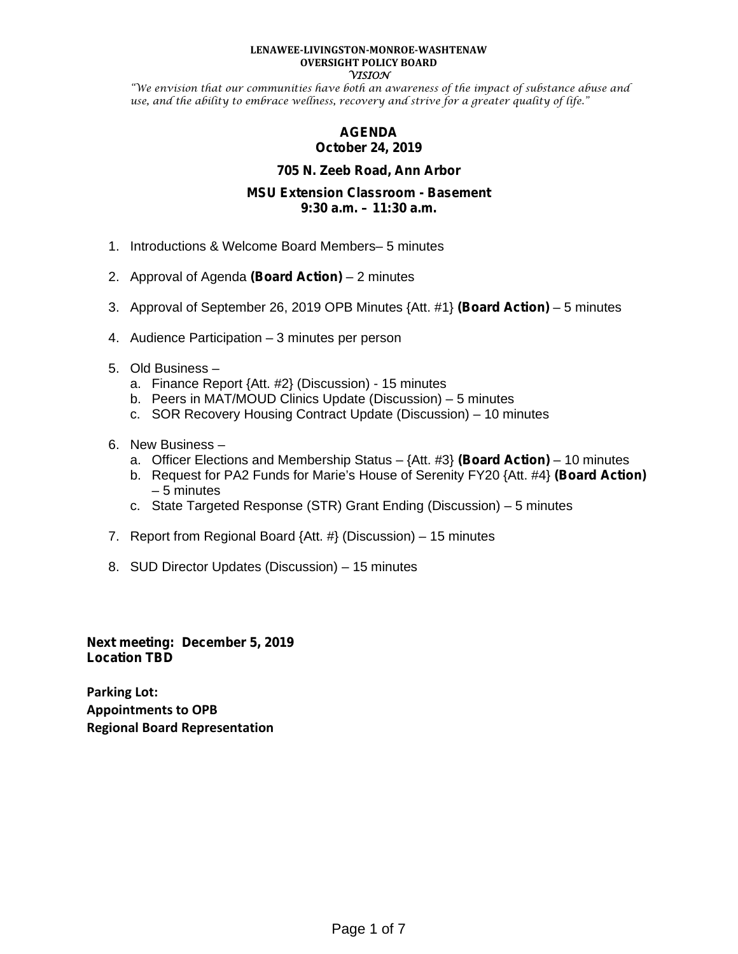#### **LENAWEE-LIVINGSTON-MONROE-WASHTENAW OVERSIGHT POLICY BOARD VISION**

"We envision that our communities have both an awareness of the impact of substance abuse and use, and the ability to embrace wellness, recovery and strive for a greater quality of life."

# **AGENDA October 24, 2019**

# **705 N. Zeeb Road, Ann Arbor**

## **MSU Extension Classroom - Basement 9:30 a.m. – 11:30 a.m.**

- 1. Introductions & Welcome Board Members– 5 minutes
- 2. Approval of Agenda **(Board Action)** 2 minutes
- 3. Approval of September 26, 2019 OPB Minutes {Att. #1} **(Board Action)** 5 minutes
- 4. Audience Participation 3 minutes per person
- 5. Old Business
	- a. Finance Report {Att. #2} (Discussion) 15 minutes
	- b. Peers in MAT/MOUD Clinics Update (Discussion) 5 minutes
	- c. SOR Recovery Housing Contract Update (Discussion) 10 minutes
- 6. New Business
	- a. Officer Elections and Membership Status {Att. #3} **(Board Action)** 10 minutes
	- b. Request for PA2 Funds for Marie's House of Serenity FY20 {Att.#4} **(Board Action)** – 5 minutes
	- c. State Targeted Response (STR) Grant Ending (Discussion) 5 minutes
- 7. Report from Regional Board {Att. #} (Discussion) 15 minutes
- 8. SUD Director Updates (Discussion) 15 minutes

**Next meeting: December 5, 2019 Location TBD**

**Parking Lot: Appointments to OPB Regional Board Representation**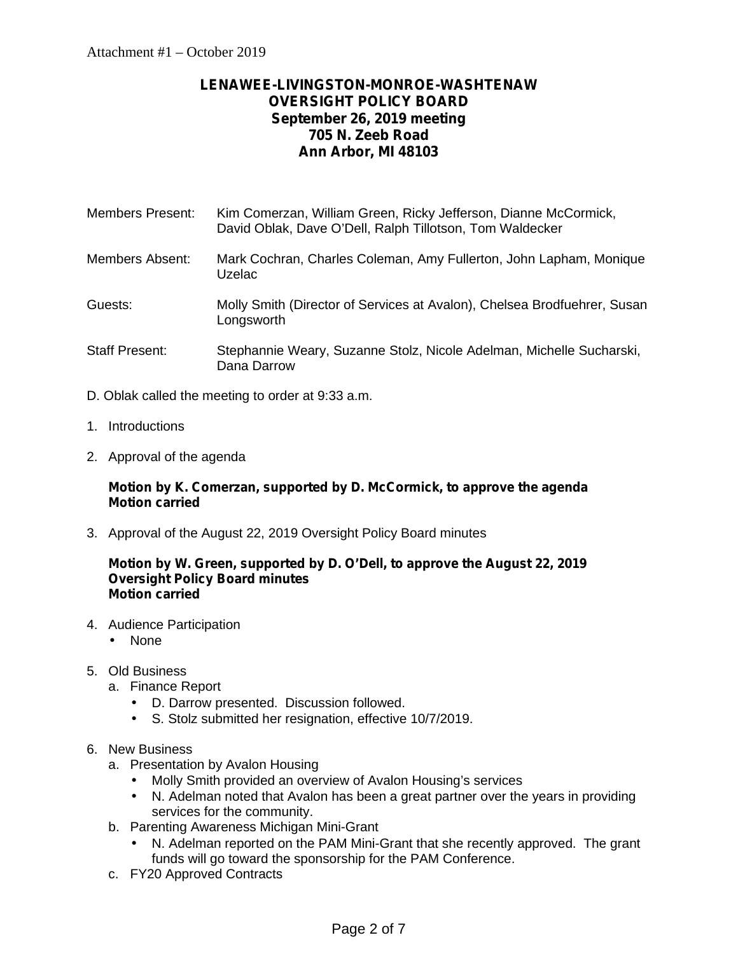# **LENAWEE-LIVINGSTON-MONROE-WASHTENAW OVERSIGHT POLICY BOARD September 26, 2019 meeting 705 N. Zeeb Road Ann Arbor, MI 48103**

| Members Present: | Kim Comerzan, William Green, Ricky Jefferson, Dianne McCormick, |
|------------------|-----------------------------------------------------------------|
|                  | David Oblak, Dave O'Dell, Ralph Tillotson, Tom Waldecker        |

- Members Absent: Mark Cochran, Charles Coleman, Amy Fullerton, John Lapham, Monique Uzelac
- Guests: Molly Smith (Director of Services at Avalon), Chelsea Brodfuehrer, Susan Longsworth
- Staff Present: Stephannie Weary, Suzanne Stolz, Nicole Adelman, Michelle Sucharski, Dana Darrow
- D. Oblak called the meeting to order at 9:33 a.m.
- 1. Introductions
- 2. Approval of the agenda

## **Motion by K. Comerzan, supported by D. McCormick, to approve the agenda Motion carried**

3. Approval of the August 22, 2019 Oversight Policy Board minutes

#### **Motion by W. Green, supported by D. O'Dell, to approve the August 22, 2019 Oversight Policy Board minutes Motion carried**

- 4. Audience Participation
	- None
- 5. Old Business
	- a. Finance Report
		- D. Darrow presented. Discussion followed.<br>
		5. Stolz submitted her resignation. effective
			- S. Stolz submitted her resignation, effective 10/7/2019.

# 6. New Business

- a. Presentation by Avalon Housing
	- Molly Smith provided an overview of Avalon Housing's services
	- N. Adelman noted that Avalon has been a great partner over the years in providing services for the community.
- b. Parenting Awareness Michigan Mini-Grant
	- N. Adelman reported on the PAM Mini-Grant that she recently approved. The grant funds will go toward the sponsorship for the PAM Conference.
- c. FY20 Approved Contracts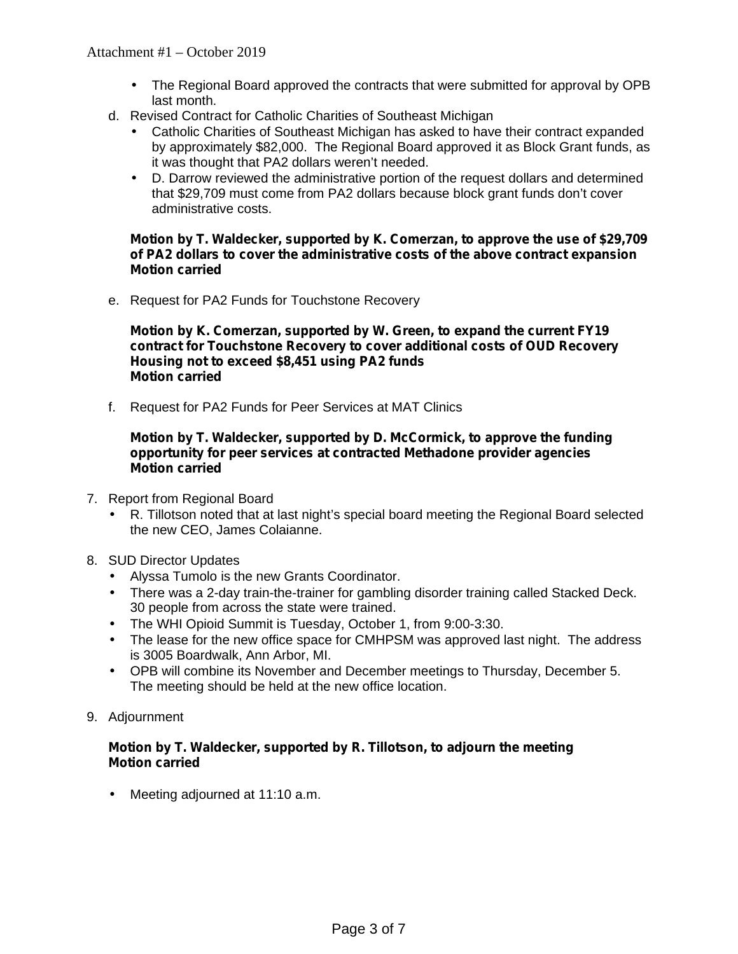- The Regional Board approved the contracts that were submitted for approval by OPB last month.
- d. Revised Contract for Catholic Charities of Southeast Michigan
	- Catholic Charities of Southeast Michigan has asked to have their contract expanded by approximately \$82,000. The Regional Board approved it as Block Grant funds, as it was thought that PA2 dollars weren't needed.
	- D. Darrow reviewed the administrative portion of the request dollars and determined that \$29,709 must come from PA2 dollars because block grant funds don't cover administrative costs.

#### **Motion by T. Waldecker, supported by K. Comerzan, to approve the use of \$29,709 of PA2 dollars to cover the administrative costs of the above contract expansion Motion carried**

e. Request for PA2 Funds for Touchstone Recovery

**Motion by K. Comerzan, supported by W. Green, to expand the current FY19 contract for Touchstone Recovery to cover additional costs of OUD Recovery Housing not to exceed \$8,451 using PA2 funds Motion carried**

f. Request for PA2 Funds for Peer Services at MAT Clinics

#### **Motion by T. Waldecker, supported by D. McCormick, to approve the funding opportunity for peer services at contracted Methadone provider agencies Motion carried**

- 7. Report from Regional Board
	- R. Tillotson noted that at last night's special board meeting the Regional Board selected the new CEO, James Colaianne.
- 8. SUD Director Updates
	- Alyssa Tumolo is the new Grants Coordinator.
	- There was a 2-day train-the-trainer for gambling disorder training called Stacked Deck. 30 people from across the state were trained.
	- The WHI Opioid Summit is Tuesday, October 1, from 9:00-3:30.
	- The lease for the new office space for CMHPSM was approved last night. The address is 3005 Boardwalk, Ann Arbor, MI.
	- OPB will combine its November and December meetings to Thursday, December 5. The meeting should be held at the new office location.
- 9. Adjournment

## **Motion by T. Waldecker, supported by R. Tillotson, to adjourn the meeting Motion carried**

Meeting adjourned at 11:10 a.m.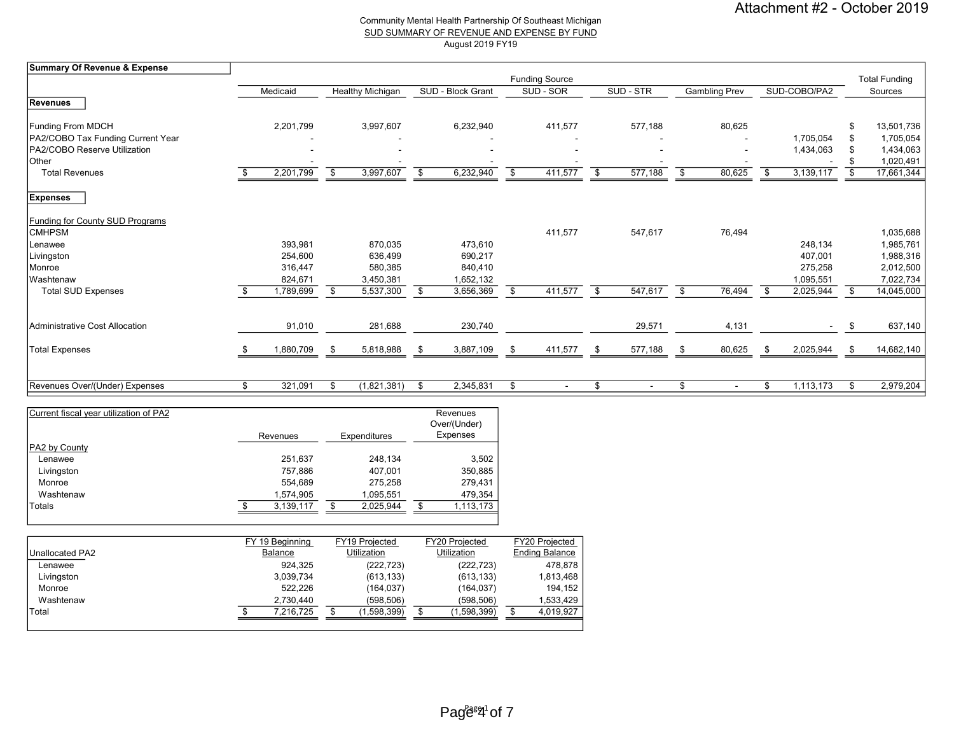#### Community Mental Health Partnership Of Southeast Michigan SUD SUMMARY OF REVENUE AND EXPENSE BY FUND August 2019 FY19

| Summary Of Revenue & Expense      |               |     |                         |      |                   |                       |               |                      |              |    |                      |
|-----------------------------------|---------------|-----|-------------------------|------|-------------------|-----------------------|---------------|----------------------|--------------|----|----------------------|
|                                   |               |     |                         |      |                   | <b>Funding Source</b> |               |                      |              |    | <b>Total Funding</b> |
|                                   | Medicaid      |     | <b>Healthy Michigan</b> |      | SUD - Block Grant | SUD - SOR             | SUD - STR     | <b>Gambling Prev</b> | SUD-COBO/PA2 |    | Sources              |
| Revenues                          |               |     |                         |      |                   |                       |               |                      |              |    |                      |
| <b>Funding From MDCH</b>          | 2,201,799     |     | 3,997,607               |      | 6,232,940         | 411,577               | 577,188       | 80,625               |              |    | 13,501,736           |
| PA2/COBO Tax Funding Current Year |               |     |                         |      |                   |                       |               |                      | 1,705,054    |    | 1,705,054            |
| PA2/COBO Reserve Utilization      |               |     |                         |      |                   |                       |               |                      | 1,434,063    |    | 1,434,063            |
| Other                             |               |     |                         |      |                   |                       |               |                      |              |    | 1,020,491            |
| <b>Total Revenues</b>             | 2,201,799     | \$  | 3,997,607               | \$   | 6,232,940         | \$<br>411,577         | \$<br>577,188 | \$<br>80,625         | 3,139,117    | \$ | 17,661,344           |
| <b>Expenses</b>                   |               |     |                         |      |                   |                       |               |                      |              |    |                      |
| Funding for County SUD Programs   |               |     |                         |      |                   |                       |               |                      |              |    |                      |
| <b>CMHPSM</b>                     |               |     |                         |      |                   | 411,577               | 547,617       | 76,494               |              |    | 1,035,688            |
| Lenawee                           | 393,981       |     | 870,035                 |      | 473,610           |                       |               |                      | 248,134      |    | 1,985,761            |
| Livingston                        | 254,600       |     | 636,499                 |      | 690,217           |                       |               |                      | 407,001      |    | 1,988,316            |
| Monroe                            | 316,447       |     | 580,385                 |      | 840,410           |                       |               |                      | 275,258      |    | 2,012,500            |
| Washtenaw                         | 824,671       |     | 3,450,381               |      | 1,652,132         |                       |               |                      | 1,095,551    |    | 7,022,734            |
| <b>Total SUD Expenses</b>         | 1,789,699     | \$  | 5,537,300               | \$   | 3,656,369         | \$<br>411,577         | \$<br>547,617 | \$<br>76,494         | 2,025,944    | \$ | 14,045,000           |
| Administrative Cost Allocation    | 91,010        |     | 281,688                 |      | 230,740           |                       | 29,571        |                      |              | \$ | 637,140              |
|                                   |               |     |                         |      |                   |                       |               | 4,131                |              |    |                      |
| Total Expenses                    | 1,880,709     | -96 | 5,818,988               | - \$ | 3,887,109         | \$<br>411,577         | 577,188       | \$<br>80,625         | 2,025,944    | Ŝ. | 14,682,140           |
|                                   |               |     |                         |      |                   |                       |               |                      |              |    |                      |
| Revenues Over/(Under) Expenses    | \$<br>321,091 | \$  | (1,821,381)             | \$   | 2,345,831         | \$                    | \$            | \$                   | 1,113,173    | \$ | 2,979,204            |

| Current fiscal year utilization of PA2 | Revenues  | Expenditures |   | Revenues<br>Over/(Under)<br>Expenses |
|----------------------------------------|-----------|--------------|---|--------------------------------------|
| PA2 by County                          |           |              |   |                                      |
| Lenawee                                | 251,637   | 248.134      |   | 3,502                                |
| Livingston                             | 757,886   | 407.001      |   | 350,885                              |
| Monroe                                 | 554,689   | 275.258      |   | 279,431                              |
| Washtenaw                              | 1,574,905 | 1,095,551    |   | 479,354                              |
| Totals                                 | 3,139,117 | 2.025.944    | S | 1,113,173                            |

|                 | FY 19 Beainning | FY19 Projected | <b>FY20 Projected</b> | FY20 Projected        |
|-----------------|-----------------|----------------|-----------------------|-----------------------|
| Unallocated PA2 | Balance         | Utilization    | Utilization           | <b>Ending Balance</b> |
| Lenawee         | 924.325         | (222, 723)     | (222, 723)            | 478.878               |
| Livingston      | 3,039,734       | (613, 133)     | (613, 133)            | 1,813,468             |
| Monroe          | 522,226         | (164, 037)     | (164, 037)            | 194,152               |
| Washtenaw       | 2,730,440       | (598, 506)     | (598, 506)            | 1,533,429             |
| Total           | 7.216.725       | (1,598,399)    | (1,598,399)           | 4,019,927             |
|                 |                 |                |                       |                       |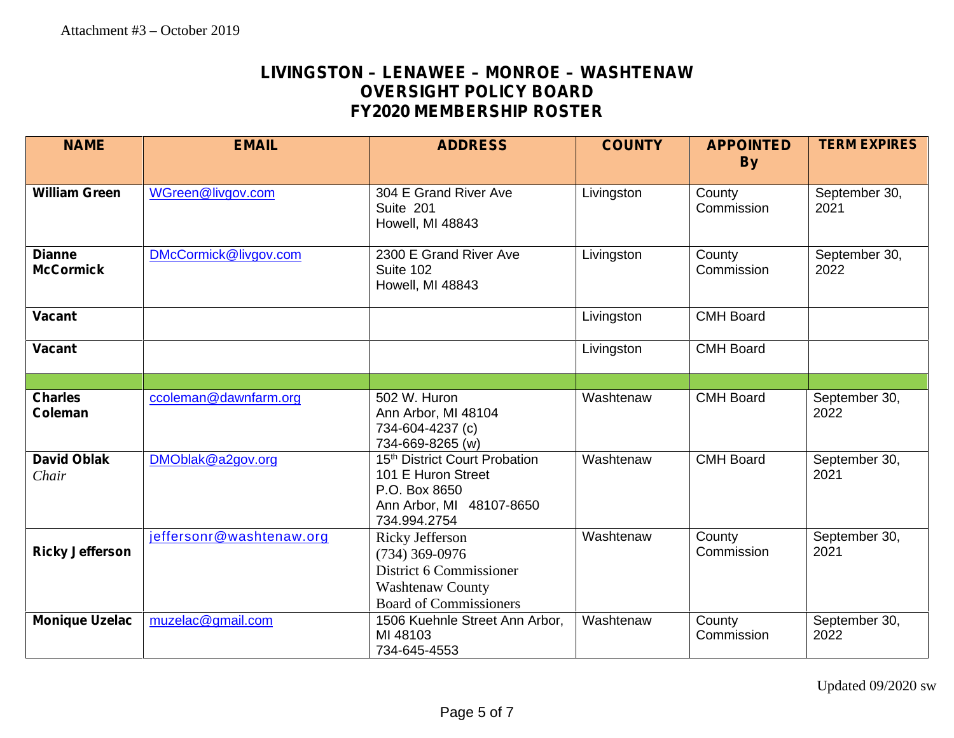# **LIVINGSTON – LENAWEE –MONROE – WASHTENAW OVERSIGHT POLICY BOARD FY2020 MEMBERSHIP ROSTER**

| <b>NAME</b>                       | <b>EMAIL</b>             | <b>ADDRESS</b>                                                                                                                    | <b>COUNTY</b> | <b>APPOINTED</b><br><b>By</b> | <b>TERM EXPIRES</b>   |
|-----------------------------------|--------------------------|-----------------------------------------------------------------------------------------------------------------------------------|---------------|-------------------------------|-----------------------|
|                                   |                          |                                                                                                                                   |               |                               |                       |
| <b>William Green</b>              | WGreen@livgov.com        | 304 E Grand River Ave<br>Suite 201<br>Howell, MI 48843                                                                            | Livingston    | County<br>Commission          | September 30,<br>2021 |
| <b>Dianne</b><br><b>McCormick</b> | DMcCormick@livgov.com    | 2300 E Grand River Ave<br>Suite 102<br>Howell, MI 48843                                                                           | Livingston    | County<br>Commission          | September 30,<br>2022 |
| <b>Vacant</b>                     |                          |                                                                                                                                   | Livingston    | <b>CMH Board</b>              |                       |
| <b>Vacant</b>                     |                          |                                                                                                                                   | Livingston    | <b>CMH Board</b>              |                       |
|                                   |                          |                                                                                                                                   |               |                               |                       |
| <b>Charles</b><br><b>Coleman</b>  | ccoleman@dawnfarm.org    | 502 W. Huron<br>Ann Arbor, MI 48104<br>734-604-4237 (c)<br>734-669-8265 (w)                                                       | Washtenaw     | <b>CMH Board</b>              | September 30,<br>2022 |
| <b>David Oblak</b><br>Chair       | DMOblak@a2gov.org        | 15 <sup>th</sup> District Court Probation<br>101 E Huron Street<br>P.O. Box 8650<br>Ann Arbor, MI 48107-8650<br>734.994.2754      | Washtenaw     | <b>CMH Board</b>              | September 30,<br>2021 |
| <b>Ricky Jefferson</b>            | jeffersonr@washtenaw.org | <b>Ricky Jefferson</b><br>$(734)$ 369-0976<br>District 6 Commissioner<br><b>Washtenaw County</b><br><b>Board of Commissioners</b> | Washtenaw     | County<br>Commission          | September 30,<br>2021 |
| <b>Monique Uzelac</b>             | muzelac@gmail.com        | 1506 Kuehnle Street Ann Arbor,<br>MI 48103<br>734-645-4553                                                                        | Washtenaw     | County<br>Commission          | September 30,<br>2022 |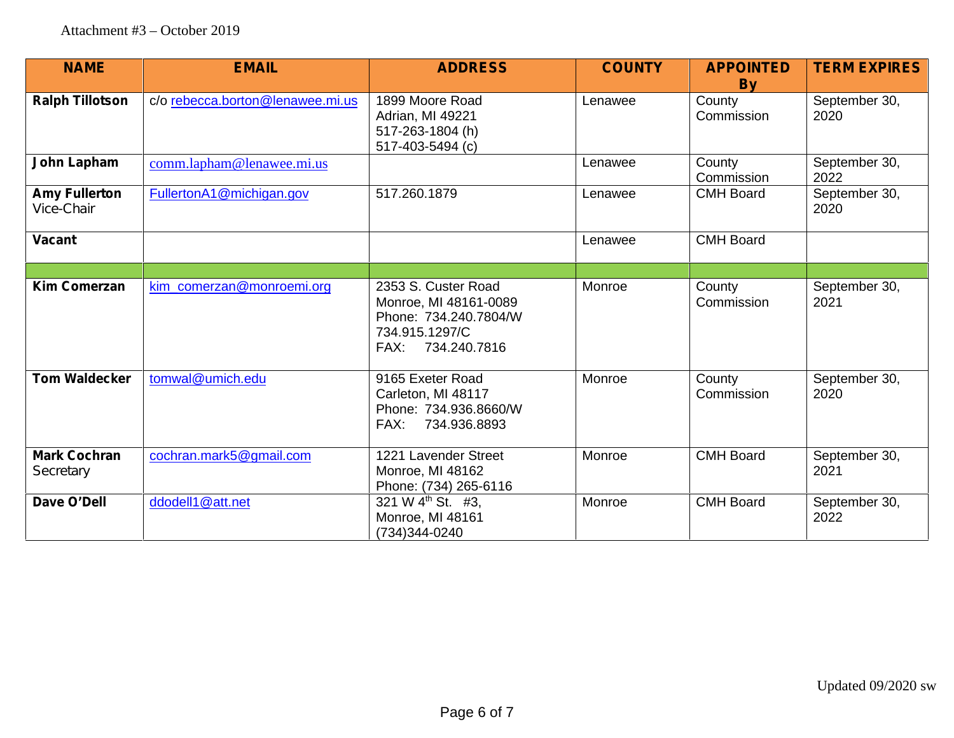| <b>NAME</b>                        | <b>EMAIL</b>                     | <b>ADDRESS</b>                                                                          | <b>COUNTY</b> | <b>APPOINTED</b><br><b>By</b> | <b>TERM EXPIRES</b>   |
|------------------------------------|----------------------------------|-----------------------------------------------------------------------------------------|---------------|-------------------------------|-----------------------|
| <b>Ralph Tillotson</b>             | c/o rebecca.borton@lenawee.mi.us | 1899 Moore Road<br>Adrian, MI 49221<br>517-263-1804 (h)<br>517-403-5494 (c)             | Lenawee       | County<br>Commission          | September 30,<br>2020 |
| John Lapham                        | comm.lapham@lenawee.mi.us        |                                                                                         | Lenawee       | County<br>Commission          | September 30,<br>2022 |
| <b>Amy Fullerton</b><br>Vice-Chair | FullertonA1@michigan.gov         | 517.260.1879                                                                            | Lenawee       | <b>CMH Board</b>              | September 30,<br>2020 |
| <b>Vacant</b>                      |                                  |                                                                                         | Lenawee       | <b>CMH Board</b>              |                       |
| <b>Kim Comerzan</b>                | kim_comerzan@monroemi.org        | 2353 S. Custer Road<br>Monroe, MI 48161-0089                                            | Monroe        | County<br>Commission          | September 30,<br>2021 |
|                                    |                                  | Phone: 734.240.7804/W<br>734.915.1297/C<br>FAX: 734.240.7816                            |               |                               |                       |
| <b>Tom Waldecker</b>               | tomwal@umich.edu                 | 9165 Exeter Road<br>Carleton, MI 48117<br>Phone: 734.936.8660/W<br>FAX:<br>734.936.8893 | Monroe        | County<br>Commission          | September 30,<br>2020 |
| <b>Mark Cochran</b><br>Secretary   | cochran.mark5@gmail.com          | 1221 Lavender Street<br>Monroe, MI 48162<br>Phone: (734) 265-6116                       | Monroe        | <b>CMH Board</b>              | September 30,<br>2021 |
| Dave O'Dell                        | ddodell1@att.net                 | 321 W 4 <sup>th</sup> St. #3,<br>Monroe, MI 48161<br>(734) 344-0240                     | Monroe        | <b>CMH Board</b>              | September 30,<br>2022 |